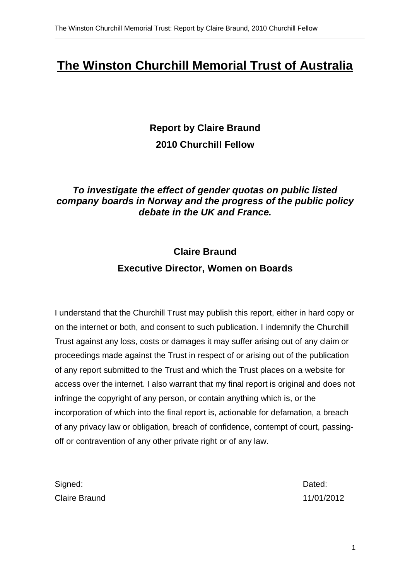# **The Winston Churchill Memorial Trust of Australia**

**Report by Claire Braund 2010 Churchill Fellow** 

## **To investigate the effect of gender quotas on public listed company boards in Norway and the progress of the public policy debate in the UK and France.**

# **Claire Braund Executive Director, Women on Boards**

I understand that the Churchill Trust may publish this report, either in hard copy or on the internet or both, and consent to such publication. I indemnify the Churchill Trust against any loss, costs or damages it may suffer arising out of any claim or proceedings made against the Trust in respect of or arising out of the publication of any report submitted to the Trust and which the Trust places on a website for access over the internet. I also warrant that my final report is original and does not infringe the copyright of any person, or contain anything which is, or the incorporation of which into the final report is, actionable for defamation, a breach of any privacy law or obligation, breach of confidence, contempt of court, passingoff or contravention of any other private right or of any law.

| Signed:       | Dated:     |
|---------------|------------|
| Claire Braund | 11/01/2012 |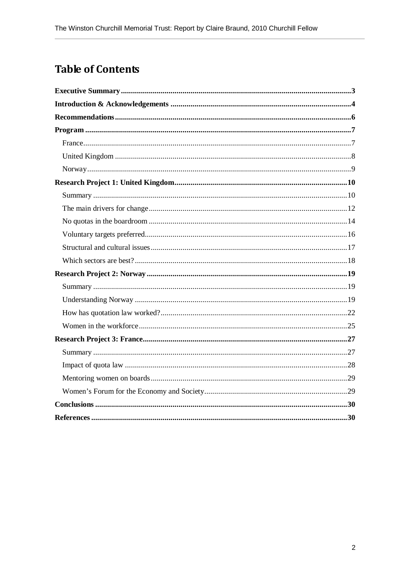# **Table of Contents**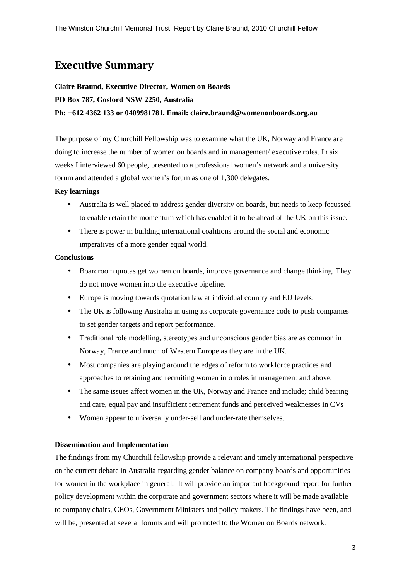# Executive Summary

#### **Claire Braund, Executive Director, Women on Boards**

**PO Box 787, Gosford NSW 2250, Australia** 

#### **Ph: +612 4362 133 or 0409981781, Email: claire.braund@womenonboards.org.au**

The purpose of my Churchill Fellowship was to examine what the UK, Norway and France are doing to increase the number of women on boards and in management/ executive roles. In six weeks I interviewed 60 people, presented to a professional women's network and a university forum and attended a global women's forum as one of 1,300 delegates.

#### **Key learnings**

- Australia is well placed to address gender diversity on boards, but needs to keep focussed to enable retain the momentum which has enabled it to be ahead of the UK on this issue.
- There is power in building international coalitions around the social and economic imperatives of a more gender equal world.

#### **Conclusions**

- Boardroom quotas get women on boards, improve governance and change thinking. They do not move women into the executive pipeline.
- Europe is moving towards quotation law at individual country and EU levels.
- The UK is following Australia in using its corporate governance code to push companies to set gender targets and report performance.
- Traditional role modelling, stereotypes and unconscious gender bias are as common in Norway, France and much of Western Europe as they are in the UK.
- Most companies are playing around the edges of reform to workforce practices and approaches to retaining and recruiting women into roles in management and above.
- The same issues affect women in the UK, Norway and France and include; child bearing and care, equal pay and insufficient retirement funds and perceived weaknesses in CVs
- Women appear to universally under-sell and under-rate themselves.

#### **Dissemination and Implementation**

The findings from my Churchill fellowship provide a relevant and timely international perspective on the current debate in Australia regarding gender balance on company boards and opportunities for women in the workplace in general. It will provide an important background report for further policy development within the corporate and government sectors where it will be made available to company chairs, CEOs, Government Ministers and policy makers. The findings have been, and will be, presented at several forums and will promoted to the Women on Boards network.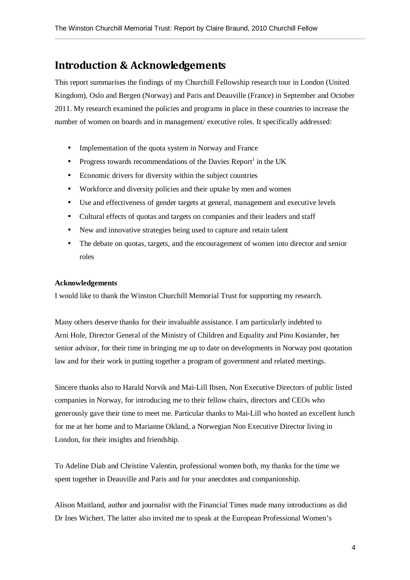# Introduction & Acknowledgements

This report summarises the findings of my Churchill Fellowship research tour in London (United Kingdom), Oslo and Bergen (Norway) and Paris and Deauville (France) in September and October 2011. My research examined the policies and programs in place in these countries to increase the number of women on boards and in management/ executive roles. It specifically addressed:

- Implementation of the quota system in Norway and France
- Progress towards recommendations of the Davies Report<sup>1</sup> in the UK
- Economic drivers for diversity within the subject countries
- Workforce and diversity policies and their uptake by men and women
- Use and effectiveness of gender targets at general, management and executive levels
- Cultural effects of quotas and targets on companies and their leaders and staff
- New and innovative strategies being used to capture and retain talent
- The debate on quotas, targets, and the encouragement of women into director and senior roles

#### **Acknowledgements**

I would like to thank the Winston Churchill Memorial Trust for supporting my research.

Many others deserve thanks for their invaluable assistance. I am particularly indebted to Arni Hole, Director General of the Ministry of Children and Equality and Pino Kosiander, her senior advisor, for their time in bringing me up to date on developments in Norway post quotation law and for their work in putting together a program of government and related meetings.

Sincere thanks also to Harald Norvik and Mai-Lill Ibsen, Non Executive Directors of public listed companies in Norway, for introducing me to their fellow chairs, directors and CEOs who generously gave their time to meet me. Particular thanks to Mai-Lill who hosted an excellent lunch for me at her home and to Marianne Okland, a Norwegian Non Executive Director living in London, for their insights and friendship.

To Adeline Diab and Christine Valentin, professional women both, my thanks for the time we spent together in Deauville and Paris and for your anecdotes and companionship.

Alison Maitland, author and journalist with the Financial Times made many introductions as did Dr Ines Wichert. The latter also invited me to speak at the European Professional Women's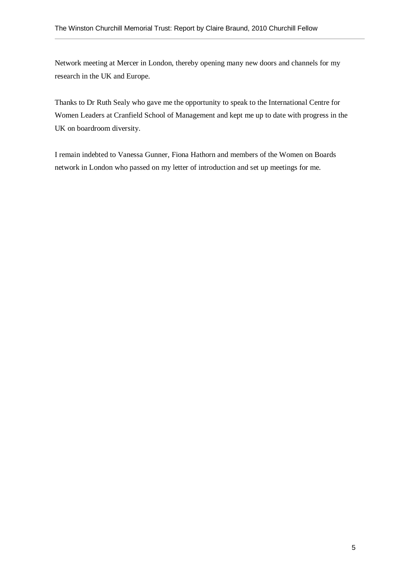Network meeting at Mercer in London, thereby opening many new doors and channels for my research in the UK and Europe.

Thanks to Dr Ruth Sealy who gave me the opportunity to speak to the International Centre for Women Leaders at Cranfield School of Management and kept me up to date with progress in the UK on boardroom diversity.

I remain indebted to Vanessa Gunner, Fiona Hathorn and members of the Women on Boards network in London who passed on my letter of introduction and set up meetings for me.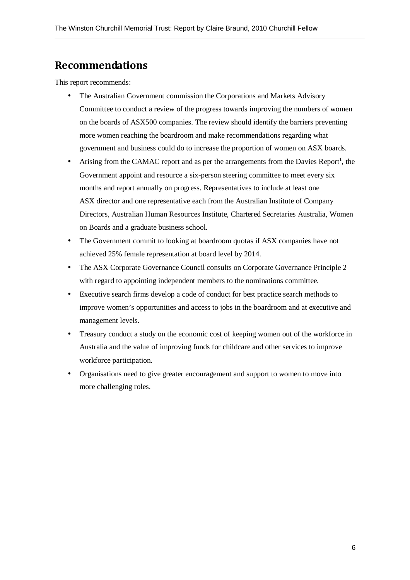# Recommendations

This report recommends:

- The Australian Government commission the Corporations and Markets Advisory Committee to conduct a review of the progress towards improving the numbers of women on the boards of ASX500 companies. The review should identify the barriers preventing more women reaching the boardroom and make recommendations regarding what government and business could do to increase the proportion of women on ASX boards.
- Arising from the CAMAC report and as per the arrangements from the Davies Report<sup>1</sup>, the Government appoint and resource a six-person steering committee to meet every six months and report annually on progress. Representatives to include at least one ASX director and one representative each from the Australian Institute of Company Directors, Australian Human Resources Institute, Chartered Secretaries Australia, Women on Boards and a graduate business school.
- The Government commit to looking at boardroom quotas if ASX companies have not achieved 25% female representation at board level by 2014.
- The ASX Corporate Governance Council consults on Corporate Governance Principle 2 with regard to appointing independent members to the nominations committee.
- Executive search firms develop a code of conduct for best practice search methods to improve women's opportunities and access to jobs in the boardroom and at executive and management levels.
- Treasury conduct a study on the economic cost of keeping women out of the workforce in Australia and the value of improving funds for childcare and other services to improve workforce participation.
- Organisations need to give greater encouragement and support to women to move into more challenging roles.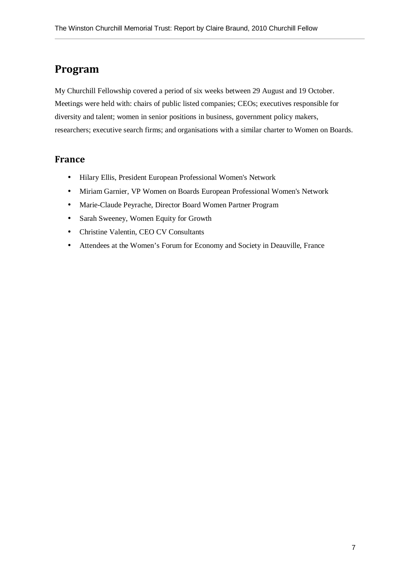# Program

My Churchill Fellowship covered a period of six weeks between 29 August and 19 October. Meetings were held with: chairs of public listed companies; CEOs; executives responsible for diversity and talent; women in senior positions in business, government policy makers, researchers; executive search firms; and organisations with a similar charter to Women on Boards.

### France

- Hilary Ellis, President European Professional Women's Network
- Miriam Garnier, VP Women on Boards European Professional Women's Network
- Marie-Claude Peyrache, Director Board Women Partner Program
- Sarah Sweeney, Women Equity for Growth
- Christine Valentin, CEO CV Consultants
- Attendees at the Women's Forum for Economy and Society in Deauville, France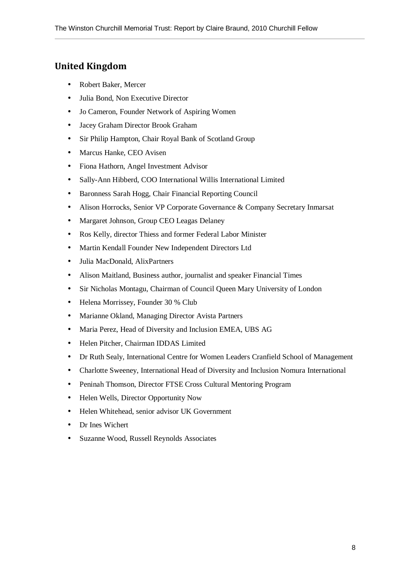## United Kingdom

- Robert Baker, Mercer
- Julia Bond, Non Executive Director
- Jo Cameron, Founder Network of Aspiring Women
- Jacey Graham Director Brook Graham
- Sir Philip Hampton, Chair Royal Bank of Scotland Group
- Marcus Hanke, CEO Avisen
- Fiona Hathorn, Angel Investment Advisor
- Sally-Ann Hibberd, COO International Willis International Limited
- Baronness Sarah Hogg, Chair Financial Reporting Council
- Alison Horrocks, Senior VP Corporate Governance & Company Secretary Inmarsat
- Margaret Johnson, Group CEO Leagas Delaney
- Ros Kelly, director Thiess and former Federal Labor Minister
- Martin Kendall Founder New Independent Directors Ltd
- Julia MacDonald, AlixPartners
- Alison Maitland, Business author, journalist and speaker Financial Times
- Sir Nicholas Montagu, Chairman of Council Queen Mary University of London
- Helena Morrissey, Founder 30 % Club
- Marianne Okland, Managing Director Avista Partners
- Maria Perez, Head of Diversity and Inclusion EMEA, UBS AG
- Helen Pitcher, Chairman IDDAS Limited
- Dr Ruth Sealy, International Centre for Women Leaders Cranfield School of Management
- Charlotte Sweeney, International Head of Diversity and Inclusion Nomura International
- Peninah Thomson, Director FTSE Cross Cultural Mentoring Program
- Helen Wells, Director Opportunity Now
- Helen Whitehead, senior advisor UK Government
- Dr Ines Wichert
- Suzanne Wood, Russell Reynolds Associates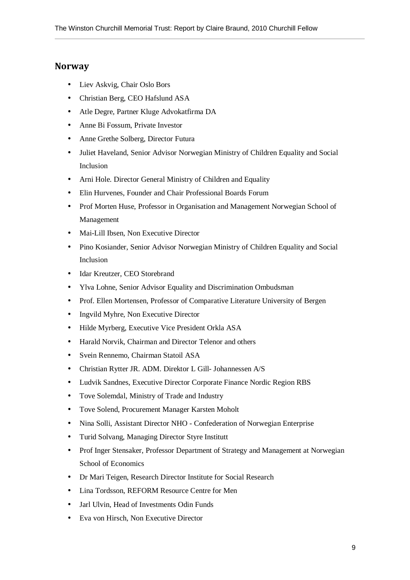### **Norway**

- Liev Askvig, Chair Oslo Bors
- Christian Berg, CEO Hafslund ASA
- Atle Degre, Partner Kluge Advokatfirma DA
- Anne Bi Fossum, Private Investor
- Anne Grethe Solberg, Director Futura
- Juliet Haveland, Senior Advisor Norwegian Ministry of Children Equality and Social Inclusion
- Arni Hole. Director General Ministry of Children and Equality
- Elin Hurvenes, Founder and Chair Professional Boards Forum
- Prof Morten Huse, Professor in Organisation and Management Norwegian School of Management
- Mai-Lill Ibsen, Non Executive Director
- Pino Kosiander, Senior Advisor Norwegian Ministry of Children Equality and Social Inclusion
- Idar Kreutzer, CEO Storebrand
- Ylva Lohne, Senior Advisor Equality and Discrimination Ombudsman
- Prof. Ellen Mortensen, Professor of Comparative Literature University of Bergen
- Ingvild Myhre, Non Executive Director
- Hilde Myrberg, Executive Vice President Orkla ASA
- Harald Norvik, Chairman and Director Telenor and others
- Svein Rennemo, Chairman Statoil ASA
- Christian Rytter JR. ADM. Direktor L Gill- Johannessen A/S
- Ludvik Sandnes, Executive Director Corporate Finance Nordic Region RBS
- Tove Solemdal, Ministry of Trade and Industry
- Tove Solend, Procurement Manager Karsten Moholt
- Nina Solli, Assistant Director NHO Confederation of Norwegian Enterprise
- Turid Solvang, Managing Director Styre Institutt
- Prof Inger Stensaker, Professor Department of Strategy and Management at Norwegian School of Economics
- Dr Mari Teigen, Research Director Institute for Social Research
- Lina Tordsson, REFORM Resource Centre for Men
- Jarl Ulvin, Head of Investments Odin Funds
- Eva von Hirsch, Non Executive Director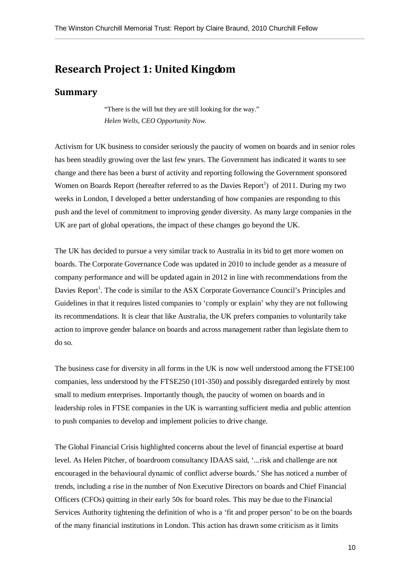# Research Project 1: United Kingdom

#### Summary

"There is the will but they are still looking for the way." *Helen Wells, CEO Opportunity Now.* 

Activism for UK business to consider seriously the paucity of women on boards and in senior roles has been steadily growing over the last few years. The Government has indicated it wants to see change and there has been a burst of activity and reporting following the Government sponsored Women on Boards Report (hereafter referred to as the Davies Report<sup>1</sup>) of 2011. During my two weeks in London, I developed a better understanding of how companies are responding to this push and the level of commitment to improving gender diversity. As many large companies in the UK are part of global operations, the impact of these changes go beyond the UK.

The UK has decided to pursue a very similar track to Australia in its bid to get more women on boards. The Corporate Governance Code was updated in 2010 to include gender as a measure of company performance and will be updated again in 2012 in line with recommendations from the Davies Report<sup>1</sup>. The code is similar to the ASX Corporate Governance Council's Principles and Guidelines in that it requires listed companies to 'comply or explain' why they are not following its recommendations. It is clear that like Australia, the UK prefers companies to voluntarily take action to improve gender balance on boards and across management rather than legislate them to do so.

The business case for diversity in all forms in the UK is now well understood among the FTSE100 companies, less understood by the FTSE250 (101-350) and possibly disregarded entirely by most small to medium enterprises. Importantly though, the paucity of women on boards and in leadership roles in FTSE companies in the UK is warranting sufficient media and public attention to push companies to develop and implement policies to drive change.

The Global Financial Crisis highlighted concerns about the level of financial expertise at board level. As Helen Pitcher, of boardroom consultancy IDAAS said, '...risk and challenge are not encouraged in the behavioural dynamic of conflict adverse boards.' She has noticed a number of trends, including a rise in the number of Non Executive Directors on boards and Chief Financial Officers (CFOs) quitting in their early 50s for board roles. This may be due to the Financial Services Authority tightening the definition of who is a 'fit and proper person' to be on the boards of the many financial institutions in London. This action has drawn some criticism as it limits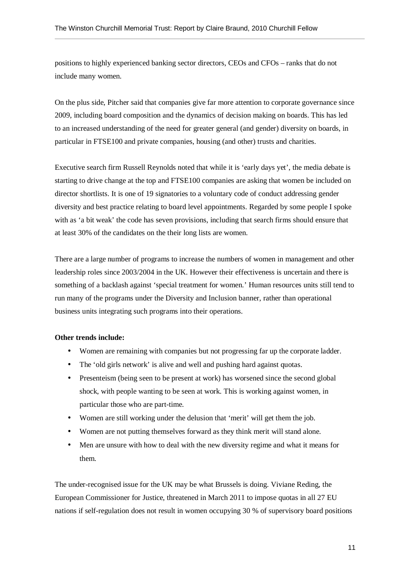positions to highly experienced banking sector directors, CEOs and CFOs – ranks that do not include many women.

On the plus side, Pitcher said that companies give far more attention to corporate governance since 2009, including board composition and the dynamics of decision making on boards. This has led to an increased understanding of the need for greater general (and gender) diversity on boards, in particular in FTSE100 and private companies, housing (and other) trusts and charities.

Executive search firm Russell Reynolds noted that while it is 'early days yet', the media debate is starting to drive change at the top and FTSE100 companies are asking that women be included on director shortlists. It is one of 19 signatories to a voluntary code of conduct addressing gender diversity and best practice relating to board level appointments. Regarded by some people I spoke with as 'a bit weak' the code has seven provisions, including that search firms should ensure that at least 30% of the candidates on the their long lists are women.

There are a large number of programs to increase the numbers of women in management and other leadership roles since 2003/2004 in the UK. However their effectiveness is uncertain and there is something of a backlash against 'special treatment for women.' Human resources units still tend to run many of the programs under the Diversity and Inclusion banner, rather than operational business units integrating such programs into their operations.

#### **Other trends include:**

- Women are remaining with companies but not progressing far up the corporate ladder.
- The 'old girls network' is alive and well and pushing hard against quotas.
- Presenteism (being seen to be present at work) has worsened since the second global shock, with people wanting to be seen at work. This is working against women, in particular those who are part-time.
- Women are still working under the delusion that 'merit' will get them the job.
- Women are not putting themselves forward as they think merit will stand alone.
- Men are unsure with how to deal with the new diversity regime and what it means for them.

The under-recognised issue for the UK may be what Brussels is doing. Viviane Reding, the European Commissioner for Justice, threatened in March 2011 to impose quotas in all 27 EU nations if self-regulation does not result in women occupying 30 % of supervisory board positions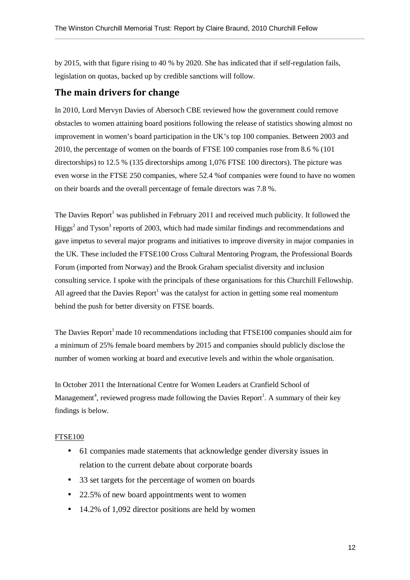by 2015, with that figure rising to 40 % by 2020. She has indicated that if self-regulation fails, legislation on quotas, backed up by credible sanctions will follow.

## The main drivers for change

In 2010, Lord Mervyn Davies of Abersoch CBE reviewed how the government could remove obstacles to women attaining board positions following the release of statistics showing almost no improvement in women's board participation in the UK's top 100 companies. Between 2003 and 2010, the percentage of women on the boards of FTSE 100 companies rose from 8.6 % (101 directorships) to 12.5 % (135 directorships among 1,076 FTSE 100 directors). The picture was even worse in the FTSE 250 companies, where 52.4 %of companies were found to have no women on their boards and the overall percentage of female directors was 7.8 %.

The Davies Report<sup>1</sup> was published in February 2011 and received much publicity. It followed the Higgs<sup>2</sup> and Tyson<sup>3</sup> reports of 2003, which had made similar findings and recommendations and gave impetus to several major programs and initiatives to improve diversity in major companies in the UK. These included the FTSE100 Cross Cultural Mentoring Program, the Professional Boards Forum (imported from Norway) and the Brook Graham specialist diversity and inclusion consulting service. I spoke with the principals of these organisations for this Churchill Fellowship. All agreed that the Davies Report<sup>1</sup> was the catalyst for action in getting some real momentum behind the push for better diversity on FTSE boards.

The Davies Report<sup>1</sup> made 10 recommendations including that FTSE100 companies should aim for a minimum of 25% female board members by 2015 and companies should publicly disclose the number of women working at board and executive levels and within the whole organisation.

In October 2011 the International Centre for Women Leaders at Cranfield School of Management<sup>4</sup>, reviewed progress made following the Davies Report<sup>1</sup>. A summary of their key findings is below.

#### FTSE100

- 61 companies made statements that acknowledge gender diversity issues in relation to the current debate about corporate boards
- 33 set targets for the percentage of women on boards
- 22.5% of new board appointments went to women
- 14.2% of 1,092 director positions are held by women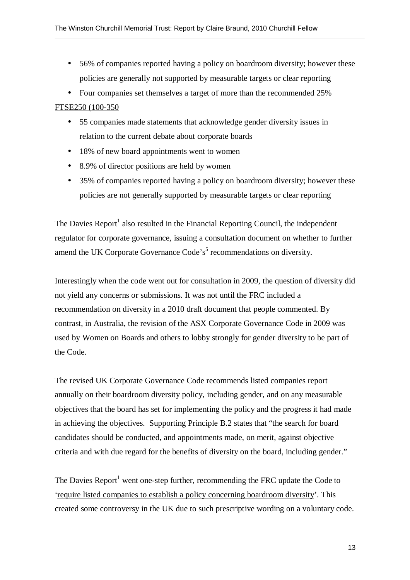- 56% of companies reported having a policy on boardroom diversity; however these policies are generally not supported by measurable targets or clear reporting
- Four companies set themselves a target of more than the recommended 25%

#### FTSE250 (100-350

- 55 companies made statements that acknowledge gender diversity issues in relation to the current debate about corporate boards
- 18% of new board appointments went to women
- 8.9% of director positions are held by women
- 35% of companies reported having a policy on boardroom diversity; however these policies are not generally supported by measurable targets or clear reporting

The Davies Report<sup>1</sup> also resulted in the Financial Reporting Council, the independent regulator for corporate governance, issuing a consultation document on whether to further amend the UK Corporate Governance Code's<sup>5</sup> recommendations on diversity.

Interestingly when the code went out for consultation in 2009, the question of diversity did not yield any concerns or submissions. It was not until the FRC included a recommendation on diversity in a 2010 draft document that people commented. By contrast, in Australia, the revision of the ASX Corporate Governance Code in 2009 was used by Women on Boards and others to lobby strongly for gender diversity to be part of the Code.

The revised UK Corporate Governance Code recommends listed companies report annually on their boardroom diversity policy, including gender, and on any measurable objectives that the board has set for implementing the policy and the progress it had made in achieving the objectives. Supporting Principle B.2 states that "the search for board candidates should be conducted, and appointments made, on merit, against objective criteria and with due regard for the benefits of diversity on the board, including gender."

The Davies Report<sup>1</sup> went one-step further, recommending the FRC update the Code to 'require listed companies to establish a policy concerning boardroom diversity'. This created some controversy in the UK due to such prescriptive wording on a voluntary code.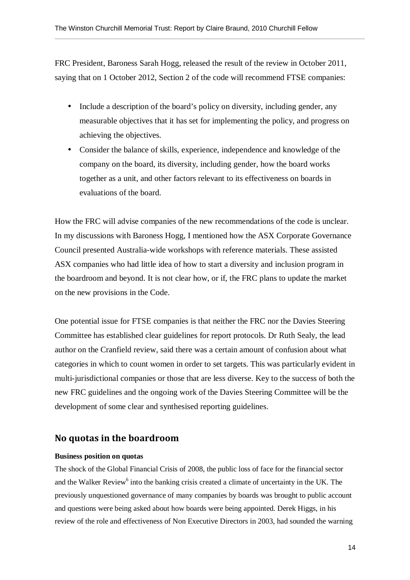FRC President, Baroness Sarah Hogg, released the result of the review in October 2011, saying that on 1 October 2012, Section 2 of the code will recommend FTSE companies:

- Include a description of the board's policy on diversity, including gender, any measurable objectives that it has set for implementing the policy, and progress on achieving the objectives.
- Consider the balance of skills, experience, independence and knowledge of the company on the board, its diversity, including gender, how the board works together as a unit, and other factors relevant to its effectiveness on boards in evaluations of the board.

How the FRC will advise companies of the new recommendations of the code is unclear. In my discussions with Baroness Hogg, I mentioned how the ASX Corporate Governance Council presented Australia-wide workshops with reference materials. These assisted ASX companies who had little idea of how to start a diversity and inclusion program in the boardroom and beyond. It is not clear how, or if, the FRC plans to update the market on the new provisions in the Code.

One potential issue for FTSE companies is that neither the FRC nor the Davies Steering Committee has established clear guidelines for report protocols. Dr Ruth Sealy, the lead author on the Cranfield review, said there was a certain amount of confusion about what categories in which to count women in order to set targets. This was particularly evident in multi-jurisdictional companies or those that are less diverse. Key to the success of both the new FRC guidelines and the ongoing work of the Davies Steering Committee will be the development of some clear and synthesised reporting guidelines.

### No quotas in the boardroom

#### **Business position on quotas**

The shock of the Global Financial Crisis of 2008, the public loss of face for the financial sector and the Walker Review<sup>6</sup> into the banking crisis created a climate of uncertainty in the UK. The previously unquestioned governance of many companies by boards was brought to public account and questions were being asked about how boards were being appointed. Derek Higgs, in his review of the role and effectiveness of Non Executive Directors in 2003, had sounded the warning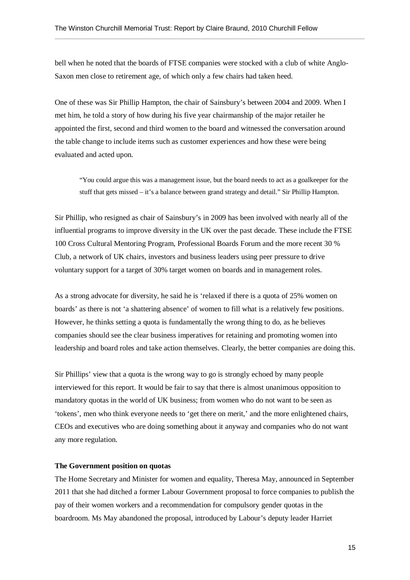bell when he noted that the boards of FTSE companies were stocked with a club of white Anglo-Saxon men close to retirement age, of which only a few chairs had taken heed.

One of these was Sir Phillip Hampton, the chair of Sainsbury's between 2004 and 2009. When I met him, he told a story of how during his five year chairmanship of the major retailer he appointed the first, second and third women to the board and witnessed the conversation around the table change to include items such as customer experiences and how these were being evaluated and acted upon.

"You could argue this was a management issue, but the board needs to act as a goalkeeper for the stuff that gets missed – it's a balance between grand strategy and detail." Sir Phillip Hampton.

Sir Phillip, who resigned as chair of Sainsbury's in 2009 has been involved with nearly all of the influential programs to improve diversity in the UK over the past decade. These include the FTSE 100 Cross Cultural Mentoring Program, Professional Boards Forum and the more recent 30 % Club, a network of UK chairs, investors and business leaders using peer pressure to drive voluntary support for a target of 30% target women on boards and in management roles.

As a strong advocate for diversity, he said he is 'relaxed if there is a quota of 25% women on boards' as there is not 'a shattering absence' of women to fill what is a relatively few positions. However, he thinks setting a quota is fundamentally the wrong thing to do, as he believes companies should see the clear business imperatives for retaining and promoting women into leadership and board roles and take action themselves. Clearly, the better companies are doing this.

Sir Phillips' view that a quota is the wrong way to go is strongly echoed by many people interviewed for this report. It would be fair to say that there is almost unanimous opposition to mandatory quotas in the world of UK business; from women who do not want to be seen as 'tokens', men who think everyone needs to 'get there on merit,' and the more enlightened chairs, CEOs and executives who are doing something about it anyway and companies who do not want any more regulation.

#### **The Government position on quotas**

The Home Secretary and Minister for women and equality, Theresa May, announced in September 2011 that she had ditched a former Labour Government proposal to force companies to publish the pay of their women workers and a recommendation for compulsory gender quotas in the boardroom. Ms May abandoned the proposal, introduced by Labour's deputy leader Harriet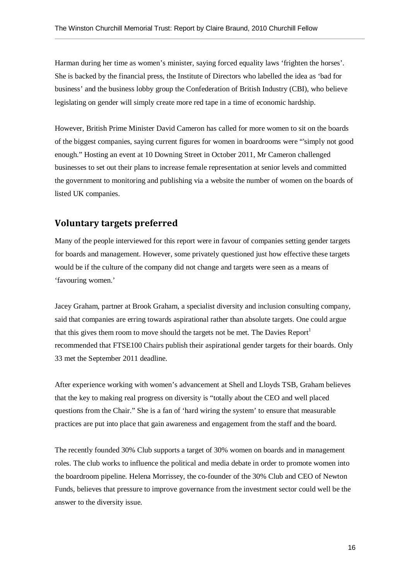Harman during her time as women's minister, saying forced equality laws 'frighten the horses'. She is backed by the financial press, the Institute of Directors who labelled the idea as 'bad for business' and the business lobby group the Confederation of British Industry (CBI), who believe legislating on gender will simply create more red tape in a time of economic hardship.

However, British Prime Minister David Cameron has called for more women to sit on the boards of the biggest companies, saying current figures for women in boardrooms were "'simply not good enough." Hosting an event at 10 Downing Street in October 2011, Mr Cameron challenged businesses to set out their plans to increase female representation at senior levels and committed the government to monitoring and publishing via a website the number of women on the boards of listed UK companies.

### Voluntary targets preferred

Many of the people interviewed for this report were in favour of companies setting gender targets for boards and management. However, some privately questioned just how effective these targets would be if the culture of the company did not change and targets were seen as a means of 'favouring women.'

Jacey Graham, partner at Brook Graham, a specialist diversity and inclusion consulting company, said that companies are erring towards aspirational rather than absolute targets. One could argue that this gives them room to move should the targets not be met. The Davies Report<sup>1</sup> recommended that FTSE100 Chairs publish their aspirational gender targets for their boards. Only 33 met the September 2011 deadline.

After experience working with women's advancement at Shell and Lloyds TSB, Graham believes that the key to making real progress on diversity is "totally about the CEO and well placed questions from the Chair." She is a fan of 'hard wiring the system' to ensure that measurable practices are put into place that gain awareness and engagement from the staff and the board.

The recently founded 30% Club supports a target of 30% women on boards and in management roles. The club works to influence the political and media debate in order to promote women into the boardroom pipeline. Helena Morrissey, the co-founder of the 30% Club and CEO of Newton Funds, believes that pressure to improve governance from the investment sector could well be the answer to the diversity issue.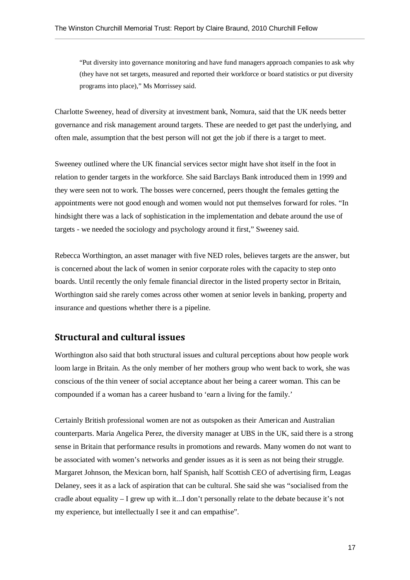"Put diversity into governance monitoring and have fund managers approach companies to ask why (they have not set targets, measured and reported their workforce or board statistics or put diversity programs into place)," Ms Morrissey said.

Charlotte Sweeney, head of diversity at investment bank, Nomura, said that the UK needs better governance and risk management around targets. These are needed to get past the underlying, and often male, assumption that the best person will not get the job if there is a target to meet.

Sweeney outlined where the UK financial services sector might have shot itself in the foot in relation to gender targets in the workforce. She said Barclays Bank introduced them in 1999 and they were seen not to work. The bosses were concerned, peers thought the females getting the appointments were not good enough and women would not put themselves forward for roles. "In hindsight there was a lack of sophistication in the implementation and debate around the use of targets - we needed the sociology and psychology around it first," Sweeney said.

Rebecca Worthington, an asset manager with five NED roles, believes targets are the answer, but is concerned about the lack of women in senior corporate roles with the capacity to step onto boards. Until recently the only female financial director in the listed property sector in Britain, Worthington said she rarely comes across other women at senior levels in banking, property and insurance and questions whether there is a pipeline.

### Structural and cultural issues

Worthington also said that both structural issues and cultural perceptions about how people work loom large in Britain. As the only member of her mothers group who went back to work, she was conscious of the thin veneer of social acceptance about her being a career woman. This can be compounded if a woman has a career husband to 'earn a living for the family.'

Certainly British professional women are not as outspoken as their American and Australian counterparts. Maria Angelica Perez, the diversity manager at UBS in the UK, said there is a strong sense in Britain that performance results in promotions and rewards. Many women do not want to be associated with women's networks and gender issues as it is seen as not being their struggle. Margaret Johnson, the Mexican born, half Spanish, half Scottish CEO of advertising firm, Leagas Delaney, sees it as a lack of aspiration that can be cultural. She said she was "socialised from the cradle about equality – I grew up with it...I don't personally relate to the debate because it's not my experience, but intellectually I see it and can empathise".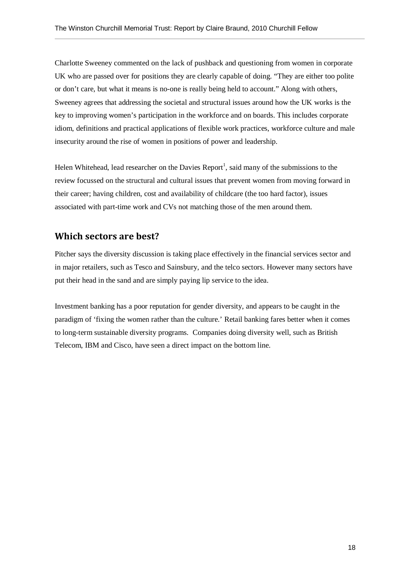Charlotte Sweeney commented on the lack of pushback and questioning from women in corporate UK who are passed over for positions they are clearly capable of doing. "They are either too polite or don't care, but what it means is no-one is really being held to account." Along with others, Sweeney agrees that addressing the societal and structural issues around how the UK works is the key to improving women's participation in the workforce and on boards. This includes corporate idiom, definitions and practical applications of flexible work practices, workforce culture and male insecurity around the rise of women in positions of power and leadership.

Helen Whitehead, lead researcher on the Davies  $Report<sup>1</sup>$ , said many of the submissions to the review focussed on the structural and cultural issues that prevent women from moving forward in their career; having children, cost and availability of childcare (the too hard factor), issues associated with part-time work and CVs not matching those of the men around them.

### Which sectors are best?

Pitcher says the diversity discussion is taking place effectively in the financial services sector and in major retailers, such as Tesco and Sainsbury, and the telco sectors. However many sectors have put their head in the sand and are simply paying lip service to the idea.

Investment banking has a poor reputation for gender diversity, and appears to be caught in the paradigm of 'fixing the women rather than the culture.' Retail banking fares better when it comes to long-term sustainable diversity programs. Companies doing diversity well, such as British Telecom, IBM and Cisco, have seen a direct impact on the bottom line.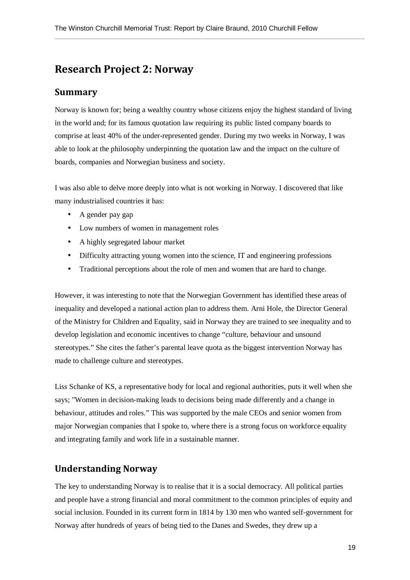# Research Project 2: Norway

### Summary

Norway is known for; being a wealthy country whose citizens enjoy the highest standard of living in the world and; for its famous quotation law requiring its public listed company boards to comprise at least 40% of the under-represented gender. During my two weeks in Norway, I was able to look at the philosophy underpinning the quotation law and the impact on the culture of boards, companies and Norwegian business and society.

I was also able to delve more deeply into what is not working in Norway. I discovered that like many industrialised countries it has:

- A gender pay gap
- Low numbers of women in management roles
- A highly segregated labour market
- Difficulty attracting young women into the science, IT and engineering professions
- Traditional perceptions about the role of men and women that are hard to change.

However, it was interesting to note that the Norwegian Government has identified these areas of inequality and developed a national action plan to address them. Arni Hole, the Director General of the Ministry for Children and Equality, said in Norway they are trained to see inequality and to develop legislation and economic incentives to change "culture, behaviour and unsound stereotypes." She cites the father's parental leave quota as the biggest intervention Norway has made to challenge culture and stereotypes.

Liss Schanke of KS, a representative body for local and regional authorities, puts it well when she says; "Women in decision-making leads to decisions being made differently and a change in behaviour, attitudes and roles." This was supported by the male CEOs and senior women from major Norwegian companies that I spoke to, where there is a strong focus on workforce equality and integrating family and work life in a sustainable manner.

### Understanding Norway

The key to understanding Norway is to realise that it is a social democracy. All political parties and people have a strong financial and moral commitment to the common principles of equity and social inclusion. Founded in its current form in 1814 by 130 men who wanted self-government for Norway after hundreds of years of being tied to the Danes and Swedes, they drew up a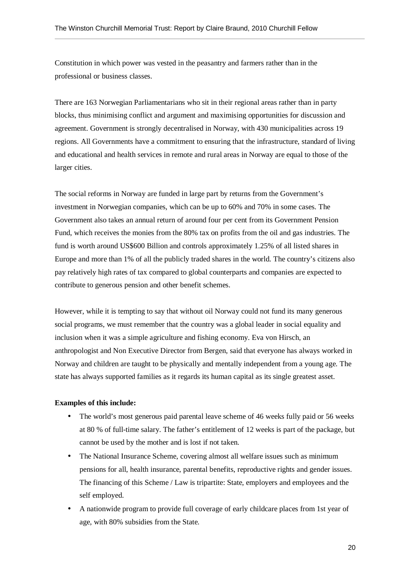Constitution in which power was vested in the peasantry and farmers rather than in the professional or business classes.

There are 163 Norwegian Parliamentarians who sit in their regional areas rather than in party blocks, thus minimising conflict and argument and maximising opportunities for discussion and agreement. Government is strongly decentralised in Norway, with 430 municipalities across 19 regions. All Governments have a commitment to ensuring that the infrastructure, standard of living and educational and health services in remote and rural areas in Norway are equal to those of the larger cities.

The social reforms in Norway are funded in large part by returns from the Government's investment in Norwegian companies, which can be up to 60% and 70% in some cases. The Government also takes an annual return of around four per cent from its Government Pension Fund, which receives the monies from the 80% tax on profits from the oil and gas industries. The fund is worth around US\$600 Billion and controls approximately 1.25% of all listed shares in Europe and more than 1% of all the publicly traded shares in the world. The country's citizens also pay relatively high rates of tax compared to global counterparts and companies are expected to contribute to generous pension and other benefit schemes.

However, while it is tempting to say that without oil Norway could not fund its many generous social programs, we must remember that the country was a global leader in social equality and inclusion when it was a simple agriculture and fishing economy. Eva von Hirsch, an anthropologist and Non Executive Director from Bergen, said that everyone has always worked in Norway and children are taught to be physically and mentally independent from a young age. The state has always supported families as it regards its human capital as its single greatest asset.

#### **Examples of this include:**

- The world's most generous paid parental leave scheme of 46 weeks fully paid or 56 weeks at 80 % of full-time salary. The father's entitlement of 12 weeks is part of the package, but cannot be used by the mother and is lost if not taken.
- The National Insurance Scheme, covering almost all welfare issues such as minimum pensions for all, health insurance, parental benefits, reproductive rights and gender issues. The financing of this Scheme / Law is tripartite: State, employers and employees and the self employed.
- A nationwide program to provide full coverage of early childcare places from 1st year of age, with 80% subsidies from the State.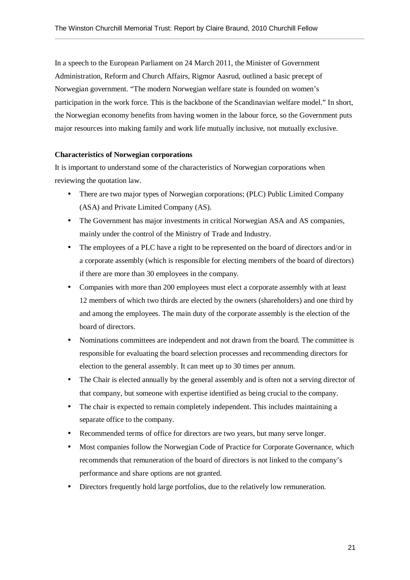In a speech to the European Parliament on 24 March 2011, the Minister of Government Administration, Reform and Church Affairs, Rigmor Aasrud, outlined a basic precept of Norwegian government. "The modern Norwegian welfare state is founded on women's participation in the work force. This is the backbone of the Scandinavian welfare model." In short, the Norwegian economy benefits from having women in the labour force, so the Government puts major resources into making family and work life mutually inclusive, not mutually exclusive.

#### **Characteristics of Norwegian corporations**

It is important to understand some of the characteristics of Norwegian corporations when reviewing the quotation law.

- There are two major types of Norwegian corporations; (PLC) Public Limited Company (ASA) and Private Limited Company (AS).
- The Government has major investments in critical Norwegian ASA and AS companies, mainly under the control of the Ministry of Trade and Industry.
- The employees of a PLC have a right to be represented on the board of directors and/or in a corporate assembly (which is responsible for electing members of the board of directors) if there are more than 30 employees in the company.
- Companies with more than 200 employees must elect a corporate assembly with at least 12 members of which two thirds are elected by the owners (shareholders) and one third by and among the employees. The main duty of the corporate assembly is the election of the board of directors.
- Nominations committees are independent and not drawn from the board. The committee is responsible for evaluating the board selection processes and recommending directors for election to the general assembly. It can meet up to 30 times per annum.
- The Chair is elected annually by the general assembly and is often not a serving director of that company, but someone with expertise identified as being crucial to the company.
- The chair is expected to remain completely independent. This includes maintaining a separate office to the company.
- Recommended terms of office for directors are two years, but many serve longer.
- Most companies follow the Norwegian Code of Practice for Corporate Governance, which recommends that remuneration of the board of directors is not linked to the company's performance and share options are not granted.
- Directors frequently hold large portfolios, due to the relatively low remuneration.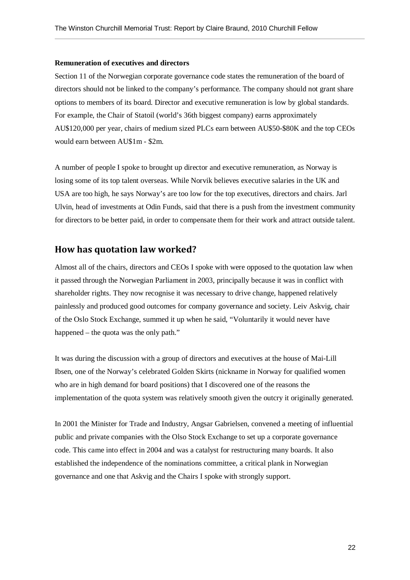#### **Remuneration of executives and directors**

Section 11 of the Norwegian corporate governance code states the remuneration of the board of directors should not be linked to the company's performance. The company should not grant share options to members of its board. Director and executive remuneration is low by global standards. For example, the Chair of Statoil (world's 36th biggest company) earns approximately AU\$120,000 per year, chairs of medium sized PLCs earn between AU\$50-\$80K and the top CEOs would earn between AU\$1m - \$2m.

A number of people I spoke to brought up director and executive remuneration, as Norway is losing some of its top talent overseas. While Norvik believes executive salaries in the UK and USA are too high, he says Norway's are too low for the top executives, directors and chairs. Jarl Ulvin, head of investments at Odin Funds, said that there is a push from the investment community for directors to be better paid, in order to compensate them for their work and attract outside talent.

#### How has quotation law worked?

Almost all of the chairs, directors and CEOs I spoke with were opposed to the quotation law when it passed through the Norwegian Parliament in 2003, principally because it was in conflict with shareholder rights. They now recognise it was necessary to drive change, happened relatively painlessly and produced good outcomes for company governance and society. Leiv Askvig, chair of the Oslo Stock Exchange, summed it up when he said, "Voluntarily it would never have happened – the quota was the only path."

It was during the discussion with a group of directors and executives at the house of Mai-Lill Ibsen, one of the Norway's celebrated Golden Skirts (nickname in Norway for qualified women who are in high demand for board positions) that I discovered one of the reasons the implementation of the quota system was relatively smooth given the outcry it originally generated.

In 2001 the Minister for Trade and Industry, Angsar Gabrielsen, convened a meeting of influential public and private companies with the Olso Stock Exchange to set up a corporate governance code. This came into effect in 2004 and was a catalyst for restructuring many boards. It also established the independence of the nominations committee, a critical plank in Norwegian governance and one that Askvig and the Chairs I spoke with strongly support.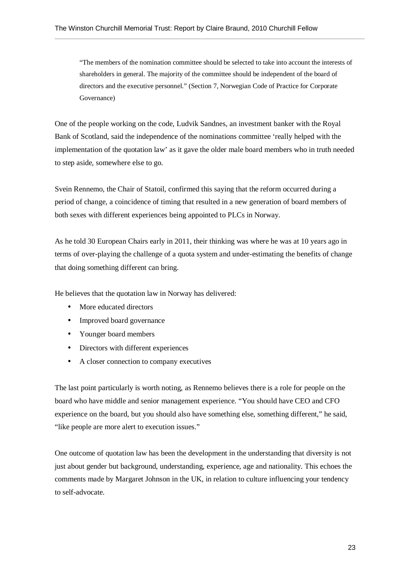"The members of the nomination committee should be selected to take into account the interests of shareholders in general. The majority of the committee should be independent of the board of directors and the executive personnel." (Section 7, Norwegian Code of Practice for Corporate Governance)

One of the people working on the code, Ludvik Sandnes, an investment banker with the Royal Bank of Scotland, said the independence of the nominations committee 'really helped with the implementation of the quotation law' as it gave the older male board members who in truth needed to step aside, somewhere else to go.

Svein Rennemo, the Chair of Statoil, confirmed this saying that the reform occurred during a period of change, a coincidence of timing that resulted in a new generation of board members of both sexes with different experiences being appointed to PLCs in Norway.

As he told 30 European Chairs early in 2011, their thinking was where he was at 10 years ago in terms of over-playing the challenge of a quota system and under-estimating the benefits of change that doing something different can bring.

He believes that the quotation law in Norway has delivered:

- More educated directors
- Improved board governance
- Younger board members
- Directors with different experiences
- A closer connection to company executives

The last point particularly is worth noting, as Rennemo believes there is a role for people on the board who have middle and senior management experience. "You should have CEO and CFO experience on the board, but you should also have something else, something different," he said, "like people are more alert to execution issues."

One outcome of quotation law has been the development in the understanding that diversity is not just about gender but background, understanding, experience, age and nationality. This echoes the comments made by Margaret Johnson in the UK, in relation to culture influencing your tendency to self-advocate.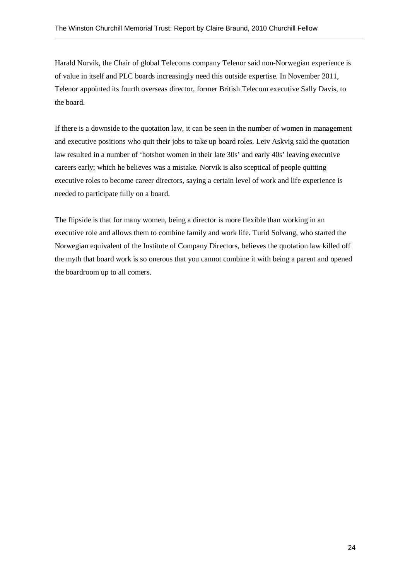Harald Norvik, the Chair of global Telecoms company Telenor said non-Norwegian experience is of value in itself and PLC boards increasingly need this outside expertise. In November 2011, Telenor appointed its fourth overseas director, former British Telecom executive Sally Davis, to the board.

If there is a downside to the quotation law, it can be seen in the number of women in management and executive positions who quit their jobs to take up board roles. Leiv Askvig said the quotation law resulted in a number of 'hotshot women in their late 30s' and early 40s' leaving executive careers early; which he believes was a mistake. Norvik is also sceptical of people quitting executive roles to become career directors, saying a certain level of work and life experience is needed to participate fully on a board.

The flipside is that for many women, being a director is more flexible than working in an executive role and allows them to combine family and work life. Turid Solvang, who started the Norwegian equivalent of the Institute of Company Directors, believes the quotation law killed off the myth that board work is so onerous that you cannot combine it with being a parent and opened the boardroom up to all comers.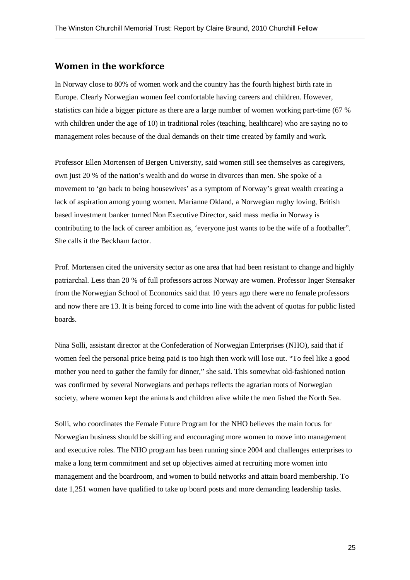#### Women in the workforce

In Norway close to 80% of women work and the country has the fourth highest birth rate in Europe. Clearly Norwegian women feel comfortable having careers and children. However, statistics can hide a bigger picture as there are a large number of women working part-time (67 % with children under the age of 10) in traditional roles (teaching, healthcare) who are saying no to management roles because of the dual demands on their time created by family and work.

Professor Ellen Mortensen of Bergen University, said women still see themselves as caregivers, own just 20 % of the nation's wealth and do worse in divorces than men. She spoke of a movement to 'go back to being housewives' as a symptom of Norway's great wealth creating a lack of aspiration among young women. Marianne Okland, a Norwegian rugby loving, British based investment banker turned Non Executive Director, said mass media in Norway is contributing to the lack of career ambition as, 'everyone just wants to be the wife of a footballer". She calls it the Beckham factor.

Prof. Mortensen cited the university sector as one area that had been resistant to change and highly patriarchal. Less than 20 % of full professors across Norway are women. Professor Inger Stensaker from the Norwegian School of Economics said that 10 years ago there were no female professors and now there are 13. It is being forced to come into line with the advent of quotas for public listed boards.

Nina Solli, assistant director at the Confederation of Norwegian Enterprises (NHO), said that if women feel the personal price being paid is too high then work will lose out. "To feel like a good mother you need to gather the family for dinner," she said. This somewhat old-fashioned notion was confirmed by several Norwegians and perhaps reflects the agrarian roots of Norwegian society, where women kept the animals and children alive while the men fished the North Sea.

Solli, who coordinates the Female Future Program for the NHO believes the main focus for Norwegian business should be skilling and encouraging more women to move into management and executive roles. The NHO program has been running since 2004 and challenges enterprises to make a long term commitment and set up objectives aimed at recruiting more women into management and the boardroom, and women to build networks and attain board membership. To date 1,251 women have qualified to take up board posts and more demanding leadership tasks.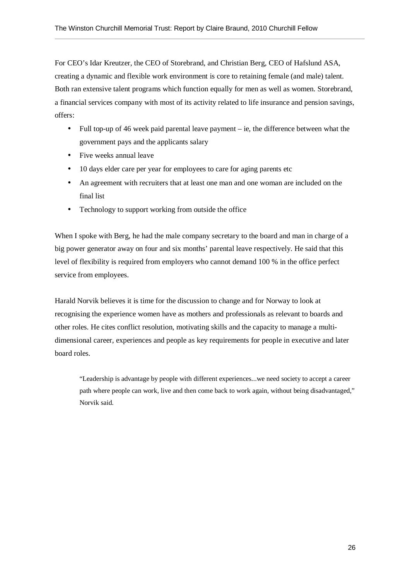For CEO's Idar Kreutzer, the CEO of Storebrand, and Christian Berg, CEO of Hafslund ASA, creating a dynamic and flexible work environment is core to retaining female (and male) talent. Both ran extensive talent programs which function equally for men as well as women. Storebrand, a financial services company with most of its activity related to life insurance and pension savings, offers:

- Full top-up of 46 week paid parental leave payment ie, the difference between what the government pays and the applicants salary
- Five weeks annual leave
- 10 days elder care per year for employees to care for aging parents etc
- An agreement with recruiters that at least one man and one woman are included on the final list
- Technology to support working from outside the office

When I spoke with Berg, he had the male company secretary to the board and man in charge of a big power generator away on four and six months' parental leave respectively. He said that this level of flexibility is required from employers who cannot demand 100 % in the office perfect service from employees.

Harald Norvik believes it is time for the discussion to change and for Norway to look at recognising the experience women have as mothers and professionals as relevant to boards and other roles. He cites conflict resolution, motivating skills and the capacity to manage a multidimensional career, experiences and people as key requirements for people in executive and later board roles.

"Leadership is advantage by people with different experiences...we need society to accept a career path where people can work, live and then come back to work again, without being disadvantaged," Norvik said.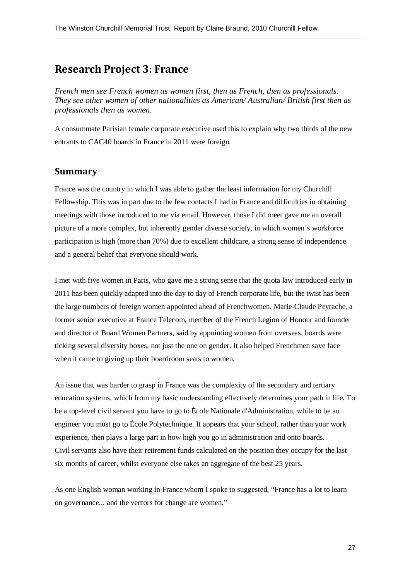# Research Project 3: France

*French men see French women as women first, then as French, then as professionals. They see other women of other nationalities as American/ Australian/ British first then as professionals then as women.* 

A consummate Parisian female corporate executive used this to explain why two thirds of the new entrants to CAC40 boards in France in 2011 were foreign.

#### Summary

France was the country in which I was able to gather the least information for my Churchill Fellowship. This was in part due to the few contacts I had in France and difficulties in obtaining meetings with those introduced to me via email. However, those I did meet gave me an overall picture of a more complex, but inherently gender diverse society, in which women's workforce participation is high (more than 70%) due to excellent childcare, a strong sense of independence and a general belief that everyone should work.

I met with five women in Paris, who gave me a strong sense that the quota law introduced early in 2011 has been quickly adapted into the day to day of French corporate life, but the twist has been the large numbers of foreign women appointed ahead of Frenchwomen. Marie-Claude Peyrache, a former senior executive at France Telecom, member of the French Legion of Honour and founder and director of Board Women Partners, said by appointing women from overseas, boards were ticking several diversity boxes, not just the one on gender. It also helped Frenchmen save face when it came to giving up their boardroom seats to women.

An issue that was harder to grasp in France was the complexity of the secondary and tertiary education systems, which from my basic understanding effectively determines your path in life. To be a top-level civil servant you have to go to École Nationale d'Administration, while to be an engineer you must go to École Polytechnique. It appears that your school, rather than your work experience, then plays a large part in how high you go in administration and onto boards. Civil servants also have their retirement funds calculated on the position they occupy for the last six months of career, whilst everyone else takes an aggregate of the best 25 years.

As one English woman working in France whom I spoke to suggested, "France has a lot to learn on governance... and the vectors for change are women."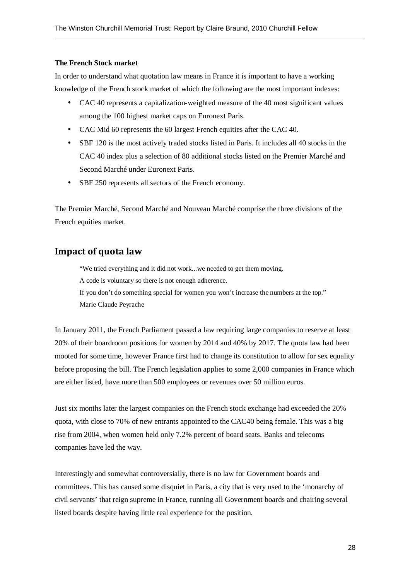#### **The French Stock market**

In order to understand what quotation law means in France it is important to have a working knowledge of the French stock market of which the following are the most important indexes:

- CAC 40 represents a capitalization-weighted measure of the 40 most significant values among the 100 highest market caps on Euronext Paris.
- CAC Mid 60 represents the 60 largest French equities after the CAC 40.
- SBF 120 is the most actively traded stocks listed in Paris. It includes all 40 stocks in the CAC 40 index plus a selection of 80 additional stocks listed on the Premier Marché and Second Marché under Euronext Paris.
- SBF 250 represents all sectors of the French economy.

The Premier Marché, Second Marché and Nouveau Marché comprise the three divisions of the French equities market.

#### Impact of quota law

"We tried everything and it did not work...we needed to get them moving. A code is voluntary so there is not enough adherence. If you don't do something special for women you won't increase the numbers at the top." Marie Claude Peyrache

In January 2011, the French Parliament passed a law requiring large companies to reserve at least 20% of their boardroom positions for women by 2014 and 40% by 2017. The quota law had been mooted for some time, however France first had to change its constitution to allow for sex equality before proposing the bill. The French legislation applies to some 2,000 companies in France which are either listed, have more than 500 employees or revenues over 50 million euros.

Just six months later the largest companies on the French stock exchange had exceeded the 20% quota, with close to 70% of new entrants appointed to the CAC40 being female. This was a big rise from 2004, when women held only 7.2% percent of board seats. Banks and telecoms companies have led the way.

Interestingly and somewhat controversially, there is no law for Government boards and committees. This has caused some disquiet in Paris, a city that is very used to the 'monarchy of civil servants' that reign supreme in France, running all Government boards and chairing several listed boards despite having little real experience for the position.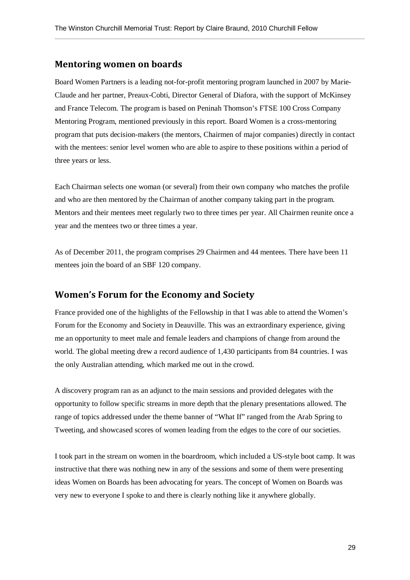#### Mentoring women on boards

Board Women Partners is a leading not-for-profit mentoring program launched in 2007 by Marie-Claude and her partner, Preaux-Cobti, Director General of Diafora, with the support of McKinsey and France Telecom. The program is based on Peninah Thomson's FTSE 100 Cross Company Mentoring Program, mentioned previously in this report. Board Women is a cross-mentoring program that puts decision-makers (the mentors, Chairmen of major companies) directly in contact with the mentees: senior level women who are able to aspire to these positions within a period of three years or less.

Each Chairman selects one woman (or several) from their own company who matches the profile and who are then mentored by the Chairman of another company taking part in the program. Mentors and their mentees meet regularly two to three times per year. All Chairmen reunite once a year and the mentees two or three times a year.

As of December 2011, the program comprises 29 Chairmen and 44 mentees. There have been 11 mentees join the board of an SBF 120 company.

#### Women's Forum for the Economy and Society

France provided one of the highlights of the Fellowship in that I was able to attend the Women's Forum for the Economy and Society in Deauville. This was an extraordinary experience, giving me an opportunity to meet male and female leaders and champions of change from around the world. The global meeting drew a record audience of 1,430 participants from 84 countries. I was the only Australian attending, which marked me out in the crowd.

A discovery program ran as an adjunct to the main sessions and provided delegates with the opportunity to follow specific streams in more depth that the plenary presentations allowed. The range of topics addressed under the theme banner of "What If" ranged from the Arab Spring to Tweeting, and showcased scores of women leading from the edges to the core of our societies.

I took part in the stream on women in the boardroom, which included a US-style boot camp. It was instructive that there was nothing new in any of the sessions and some of them were presenting ideas Women on Boards has been advocating for years. The concept of Women on Boards was very new to everyone I spoke to and there is clearly nothing like it anywhere globally.